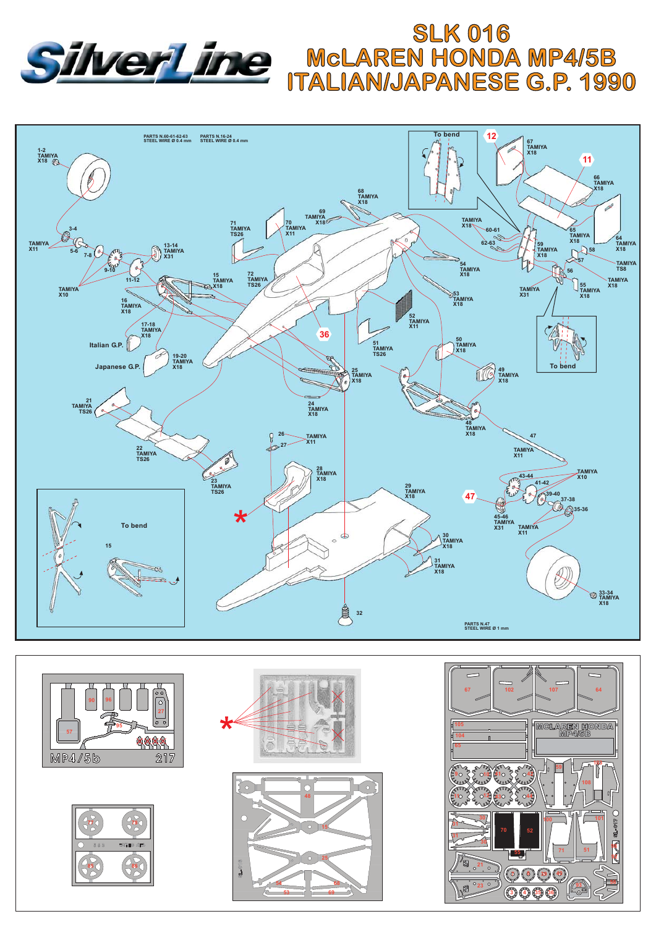









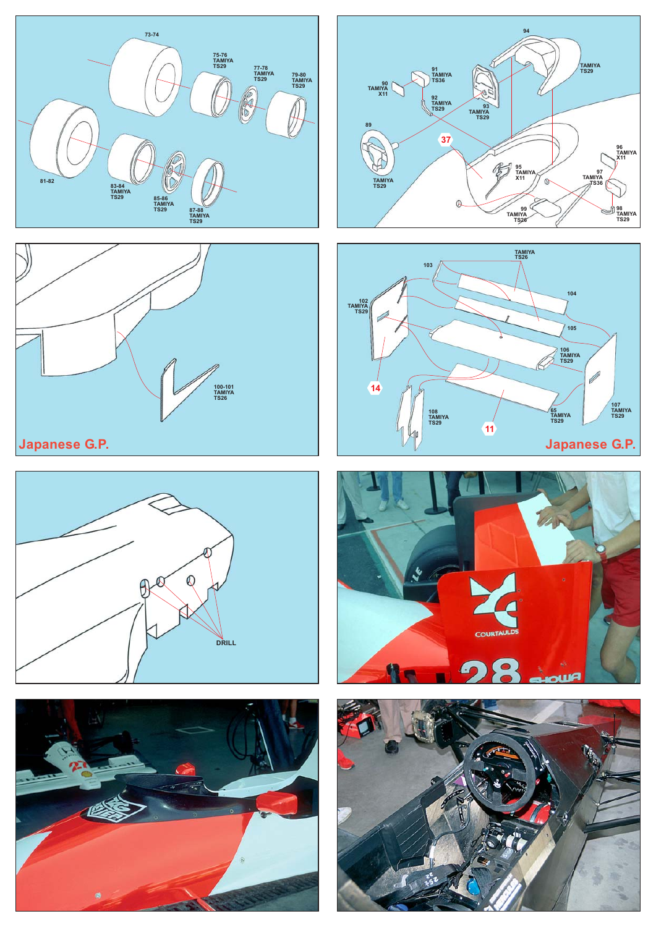













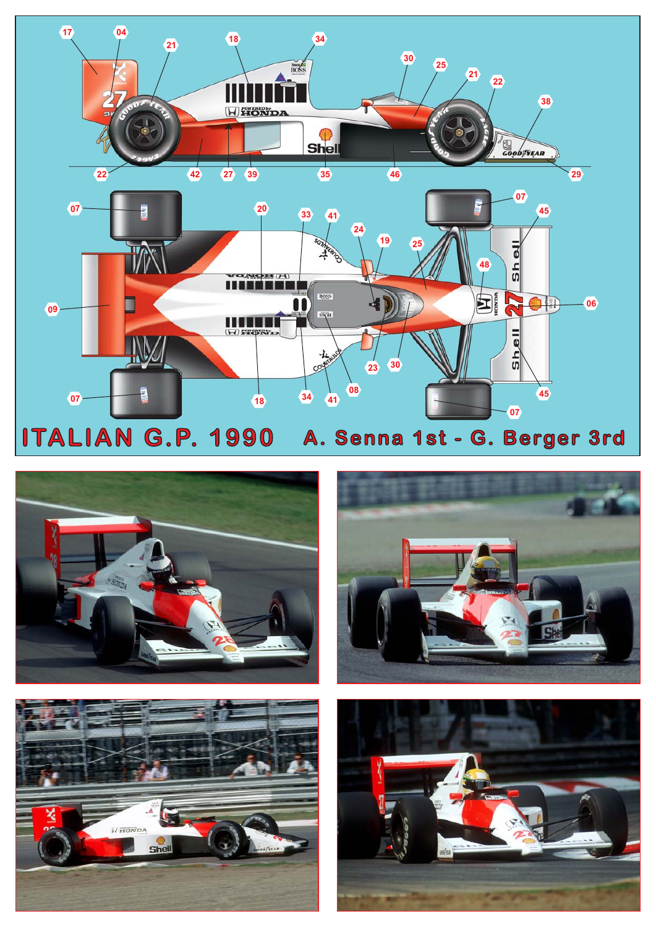